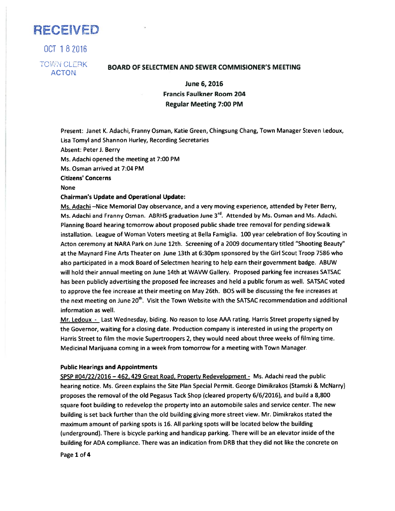RECEWED

OCT 182016 **TOWN CLERK** ACTON

# BOARD OF SELECTMEN AND SEWER COMMISIONER'S MEETING

June 6, 2016 Francis Faulkner Room 204 Regular Meeting 7:00 PM

Present: Janet K. Adachi, Franny Osman, Katie Green, Chingsung Chang, Town Manager Steven Ledoux, Lisa Tomyl and Shannon Hurley, Recording Secretaries

Absent: Peter J. Berry

Ms. Adachi opened the meeting at 7:00 PM

Ms. Osman arrived at 7:04 PM

Citizens' Concerns

None

### Chairman's Update and Operational Update:

Ms. Adachi —Nice Memorial Day observance, and <sup>a</sup> very moving experience, attended by Peter Berry, Ms. Adachi and Franny Osman. ABRHS graduation June 3<sup>rd</sup>. Attended by Ms. Osman and Ms. Adachi. Planning Board hearing tomorrow about proposed public shade tree removal for pending sidewalk installation. League of Woman Voters meeting at Bella Famiglia. 100 year celebration of Boy Scouting in Acton ceremony at NARA Park on June 12th. Screening of <sup>a</sup> 2009 documentary titled "Shooting Beauty" at the Maynard Fine Arts Theater on June 13th at 6:30pm sponsored by the Girl Scout Troop 7586 who also participated in <sup>a</sup> mock Board of Selectmen hearing to help earn their governmen<sup>t</sup> badge. ABUW will hold their annual meeting on June 14th at WAVW Gallery. Proposed parking fee increases SATSAC has been publicly advertising the proposed fee increases and held <sup>a</sup> public forum as well. SATSAC voted to approve the fee increase at their meeting on May 26th. BOS will be discussing the fee increases at the next meeting on June 20<sup>th</sup>. Visit the Town Website with the SATSAC recommendation and additional information as well.

Mr. Ledoux - Last Wednesday, biding. No reason to lose AAA rating. Harris Street property signed by the Governor, waiting for <sup>a</sup> closing date. Production company is interested in using the property on Harris Street to film the movie Supertroopers 2, they would need about three weeks of filming time. Medicinal Marijuana coming in <sup>a</sup> week from tomorrow for <sup>a</sup> meeting with Town Manager.

#### Public Hearings and Appointments

SPSP #04/22/2016 - 462, 429 Great Road, Property Redevelopment - Ms. Adachi read the public hearing notice. Ms. Green explains the Site Plan Special Permit. George Dimikrakos (Stamski & McNarry) proposes the removal of the old Pegasus Tack Shop (cleared property 6/6/2016), and build <sup>a</sup> 8,800 square foot building to redevelop the property into an automobile sales and service center. The new building is set back further than the old building <sup>g</sup>iving more street view. Mr. Dimikrakos stated the maximum amount of parking spots is 16. All parking spots will be located below the building (underground). There is bicycle parking and handicap parking. There will be an elevator inside of the building for ADA compliance. There was an indication from DRB that they did not like the concrete on

Page 1 of 4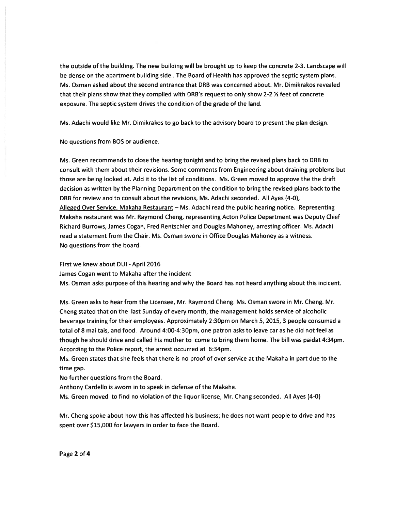the outside of the building. The new building will be brought up to keep the concrete 2-3. Landscape will be dense on the apartment building side.. The Board of Health has approved the septic system plans. Ms. Osman asked about the second entrance that DRB was concerned about. Mr. Dimikrakos revealed that their plans show that they complied with DRB's request to only show 2-2  $\frac{1}{2}$  feet of concrete exposure. The septic system drives the condition of the grade of the land.

Ms. Adachi would like Mr. Dimikrakos to go back to the advisory board to presen<sup>t</sup> the plan design.

No questions from BOS or audience.

Ms. Green recommends to close the hearing tonight and to bring the revised plans back to DRB to consult with them about their revisions. Some comments from Engineering about draining problems but those are being looked at. Add it to the list of conditions. Ms. Green moved to approve the the draft decision as written by the Planning Department on the condition to bring the revised plans back to the DRB for review and to consult about the revisions, Ms. Adachi seconded. All Ayes (4-0), Alleged Over Service, Makaha Restaurant - Ms. Adachi read the public hearing notice. Representing Makaha restaurant was Mr. Raymond Cheng, representing Acton Police Department was Deputy Chief Richard Burrows, James Cogan, Fred Rentschler and Douglas Mahoney, arresting officer. Ms. Adachi read <sup>a</sup> statement from the Chair. Ms. Osman swore in Office Douglas Mahoney as <sup>a</sup> witness. No questions from the board.

First we knew about DUI - April 2016

James Cogan went to Makaha after the incident

Ms. Osman asks purpose of this hearing and why the Board has not heard anything about this incident.

Ms. Green asks to hear from the Licensee, Mr. Raymond Cheng. Ms. Osman swore in Mr. Cheng. Mr. Cheng stated that on the last Sunday of every month, the managemen<sup>t</sup> holds service of alcoholic beverage training for their employees. Approximately 2:30pm on March 5, 2015, 3 people consumed <sup>a</sup> total of 8 mai tais, and food. Around 4:00-4:3Opm, one patron asks to leave car as he did not feel as though he should drive and called his mother to come to bring them home. The bill was paidat 4:34pm. According to the Police report, the arrest occurred at 6:34pm.

Ms. Green states that she feels that there is no proof of over service at the Makaha in par<sup>t</sup> due to the time gap.

No further questions from the Board.

Anthony Cardello is sworn in to speak in defense of the Makaha.

Ms. Green moved to find no violation of the liquor license, Mr. Chang seconded. All Ayes (4-0)

Mr. Cheng spoke about how this has affected his business; he does not want people to drive and has spen<sup>t</sup> over \$15,000 for lawyers in order to face the Board.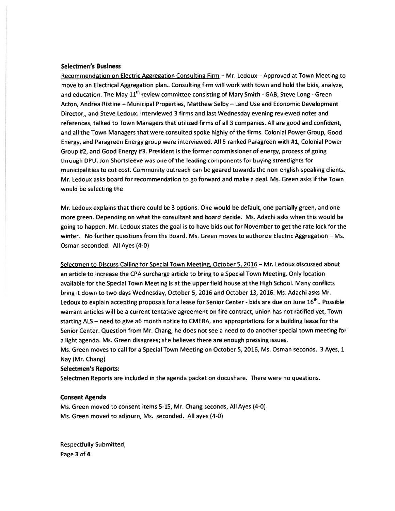#### Selectmen's Business

Recommendation on Electric Aggregation Consulting Firm - Mr. Ledoux - Approved at Town Meeting to move to an Electrical Aggregation plan.. Consulting firm will work with town and hold the bids, analyze, and education. The May 11<sup>th</sup> review committee consisting of Mary Smith - GAB, Steve Long - Green Acton, Andrea Ristine — Municipal Properties, Matthew Selby — Land Use and Economic Development Director,, and Steve Ledoux. Interviewed 3 firms and last Wednesday evening reviewed notes and references, talked to Town Managers that utilized firms of all 3 companies. All are good and confident, and all the Town Managers that were consulted spoke highly of the firms. Colonial Power Group, Good Energy, and Paragreen Energy group were interviewed. All 5 ranked Paragreen with #1, Colonial Power Group #2, and Good Energy #3. President is the former commissioner of energy, process of going through DPU. Jon Shortsleeve was one of the leading components for buying streetlights for municipalities to cut cost. Community outreach can be geared towards the non-english speaking clients. Mr. Ledoux asks board for recommendation to go forward and make <sup>a</sup> deal. Ms. Green asks if the Town would be selecting the

Mr. Ledoux explains that there could be 3 options. One would be default, one partially green, and one more green. Depending on what the consultant and board decide. Ms. Adachi asks when this would be going to happen. Mr. Ledoux states the goal is to have bids out for November to ge<sup>t</sup> the rate lock for the winter. No further questions from the Board. Ms. Green moves to authorize Electric Aggregation - Ms. Osman seconded. All Ayes (4-0)

Selectmen to Discuss Calling for Special Town Meeting, October 5, 2016 — Mr. Ledoux discussed about an article to increase the CPA surcharge article to bring to <sup>a</sup> Special Town Meeting. Only location available for the Special Town Meeting is at the upper field house at the High School. Many conflicts bring it down to two days Wednesday, October 5, 2016 and October 13, 2016. Ms. Adachi asks Mr. Ledoux to explain accepting proposals for a lease for Senior Center - bids are due on June 16<sup>th</sup>.. Possible warrant articles will be <sup>a</sup> current tentative agreemen<sup>t</sup> on fire contract, union has not ratified yet, Town starting ALS – need to give a6 month notice to CMERA, and appropriations for a building lease for the Senior Center. Question from Mr. Chang, he does not see <sup>a</sup> need to do another special town meeting for <sup>a</sup> light agenda. Ms. Green disagrees; she believes there are enough pressing issues.

Ms. Green moves to call for <sup>a</sup> Special Town Meeting on October 5, 2016, Ms. Osman seconds. 3 Ayes, 1 Nay (Mr. Chang)

## Selectmen's Reports:

Selectmen Reports are included in the agenda packet on docushare. There were no questions.

### Consent Agenda

Ms. Green moved to consent items 5-15, Mr. Chang seconds, All Ayes (4-0) Ms. Green moved to adjourn, Ms. seconded. All ayes (4-0)

Respectfully Submitted, Page 3 of 4